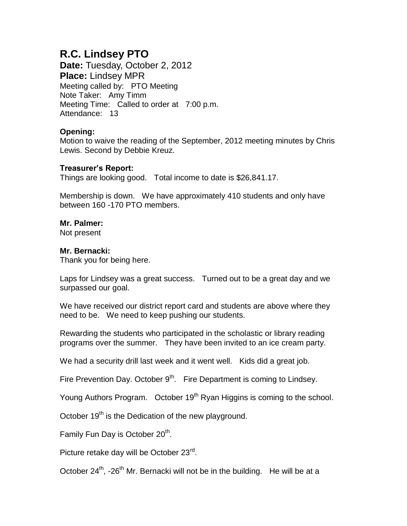# **R.C. Lindsey PTO**

**Date:** Tuesday, October 2, 2012 **Place:** Lindsey MPR Meeting called by: PTO Meeting Note Taker: Amy Timm Meeting Time: Called to order at 7:00 p.m. Attendance: 13

# **Opening:**

Motion to waive the reading of the September, 2012 meeting minutes by Chris Lewis. Second by Debbie Kreuz.

## **Treasurer's Report:**

Things are looking good. Total income to date is \$26,841.17.

Membership is down. We have approximately 410 students and only have between 160 -170 PTO members.

## **Mr. Palmer:**

Not present

#### **Mr. Bernacki:**

Thank you for being here.

Laps for Lindsey was a great success. Turned out to be a great day and we surpassed our goal.

We have received our district report card and students are above where they need to be. We need to keep pushing our students.

Rewarding the students who participated in the scholastic or library reading programs over the summer. They have been invited to an ice cream party.

We had a security drill last week and it went well. Kids did a great job.

Fire Prevention Day. October  $9<sup>th</sup>$ . Fire Department is coming to Lindsey.

Young Authors Program. October 19<sup>th</sup> Ryan Higgins is coming to the school.

October 19<sup>th</sup> is the Dedication of the new playground.

Family Fun Day is October 20<sup>th</sup>.

Picture retake day will be October 23<sup>rd</sup>.

October 24<sup>th</sup>, -26<sup>th</sup> Mr. Bernacki will not be in the building. He will be at a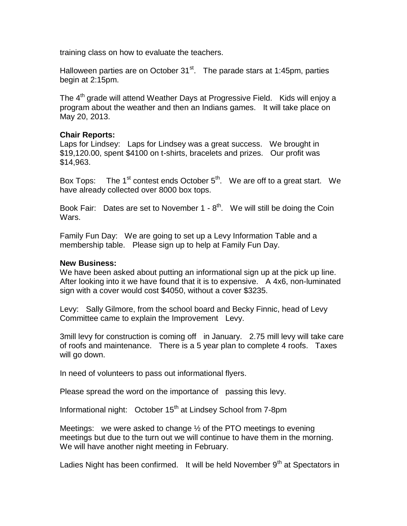training class on how to evaluate the teachers.

Halloween parties are on October  $31<sup>st</sup>$ . The parade stars at 1:45pm, parties begin at 2:15pm.

The 4<sup>th</sup> grade will attend Weather Days at Progressive Field. Kids will enjoy a program about the weather and then an Indians games. It will take place on May 20, 2013.

#### **Chair Reports:**

Laps for Lindsey: Laps for Lindsey was a great success. We brought in \$19,120.00, spent \$4100 on t-shirts, bracelets and prizes. Our profit was \$14,963.

Box Tops: The 1<sup>st</sup> contest ends October  $5<sup>th</sup>$ . We are off to a great start. We have already collected over 8000 box tops.

Book Fair: Dates are set to November  $1 - 8<sup>th</sup>$ . We will still be doing the Coin Wars.

Family Fun Day: We are going to set up a Levy Information Table and a membership table. Please sign up to help at Family Fun Day.

#### **New Business:**

We have been asked about putting an informational sign up at the pick up line. After looking into it we have found that it is to expensive. A 4x6, non-luminated sign with a cover would cost \$4050, without a cover \$3235.

Levy: Sally Gilmore, from the school board and Becky Finnic, head of Levy Committee came to explain the Improvement Levy.

3mill levy for construction is coming off in January. 2.75 mill levy will take care of roofs and maintenance. There is a 5 year plan to complete 4 roofs. Taxes will go down.

In need of volunteers to pass out informational flyers.

Please spread the word on the importance of passing this levy.

Informational night: October  $15<sup>th</sup>$  at Lindsey School from 7-8pm

Meetings: we were asked to change  $\frac{1}{2}$  of the PTO meetings to evening meetings but due to the turn out we will continue to have them in the morning. We will have another night meeting in February.

Ladies Night has been confirmed. It will be held November  $9<sup>th</sup>$  at Spectators in